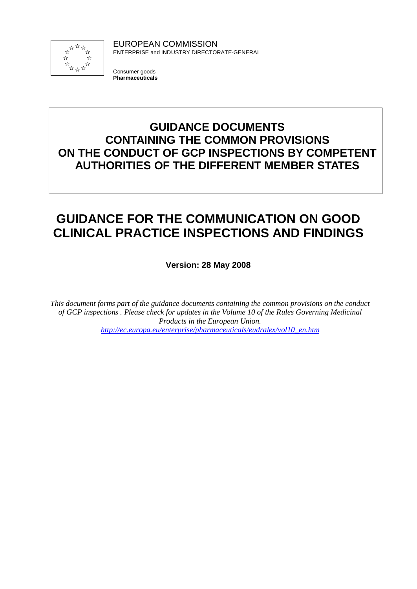

EUROPEAN COMMISSION ENTERPRISE and INDUSTRY DIRECTORATE-GENERAL

Consumer goods **Pharmaceuticals**

## **GUIDANCE DOCUMENTS CONTAINING THE COMMON PROVISIONS ON THE CONDUCT OF GCP INSPECTIONS BY COMPETENT AUTHORITIES OF THE DIFFERENT MEMBER STATES**

# **GUIDANCE FOR THE COMMUNICATION ON GOOD CLINICAL PRACTICE INSPECTIONS AND FINDINGS**

**Version: 28 May 2008**

*This document forms part of the guidance documents containing the common provisions on the conduct of GCP inspections . Please check for updates in the Volume 10 of the Rules Governing Medicinal Products in the European Union. http://ec.europa.eu/enterprise/pharmaceuticals/eudralex/vol10\_en.htm*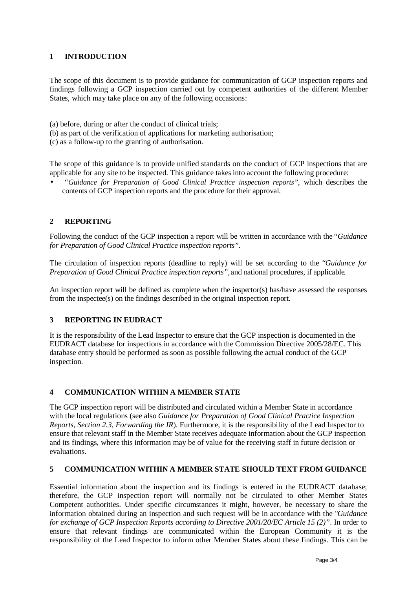### **1 INTRODUCTION**

The scope of this document is to provide guidance for communication of GCP inspection reports and findings following a GCP inspection carried out by competent authorities of the different Member States, which may take place on any of the following occasions:

- (a) before, during or after the conduct of clinical trials;
- (b) as part of the verification of applications for marketing authorisation;
- (c) as a follow-up to the granting of authorisation.

The scope of this guidance is to provide unified standards on the conduct of GCP inspections that are applicable for any site to be inspected. This guidance takes into account the following procedure:

• *"Guidance for Preparation of Good Clinical Practice inspection reports",* which describes the contents of GCP inspection reports and the procedure for their approval.

### **2 REPORTING**

Following the conduct of the GCP inspection a report will be written in accordance with the *"Guidance for Preparation of Good Clinical Practice inspection reports".*

The circulation of inspection reports (deadline to reply) will be set according to the "*Guidance for Preparation of Good Clinical Practice inspection reports",* and national procedures, if applicable*.*

An inspection report will be defined as complete when the inspector(s) has/have assessed the responses from the inspectee(s) on the findings described in the original inspection report.

#### **3 REPORTING IN EUDRACT**

It is the responsibility of the Lead Inspector to ensure that the GCP inspection is documented in the EUDRACT database for inspections in accordance with the Commission Directive 2005/28/EC. This database entry should be performed as soon as possible following the actual conduct of the GCP inspection.

#### **4 COMMUNICATION WITHIN A MEMBER STATE**

The GCP inspection report will be distributed and circulated within a Member State in accordance with the local regulations (see also *Guidance for Preparation of Good Clinical Practice Inspection Reports, Section 2.3, Forwarding the IR*). Furthermore, it is the responsibility of the Lead Inspector to ensure that relevant staff in the Member State receives adequate information about the GCP inspection and its findings, where this information may be of value for the receiving staff in future decision or evaluations.

#### **5 COMMUNICATION WITHIN A MEMBER STATE SHOULD TEXT FROM GUIDANCE**

Essential information about the inspection and its findings is entered in the EUDRACT database; therefore, the GCP inspection report will normally not be circulated to other Member States Competent authorities. Under specific circumstances it might, however, be necessary to share the information obtained during an inspection and such request will be in accordance with the "*Guidance for exchange of GCP Inspection Reports according to Directive 2001/20/EC Article 15 (2)"*. In order to ensure that relevant findings are communicated within the European Community it is the responsibility of the Lead Inspector to inform other Member States about these findings. This can be